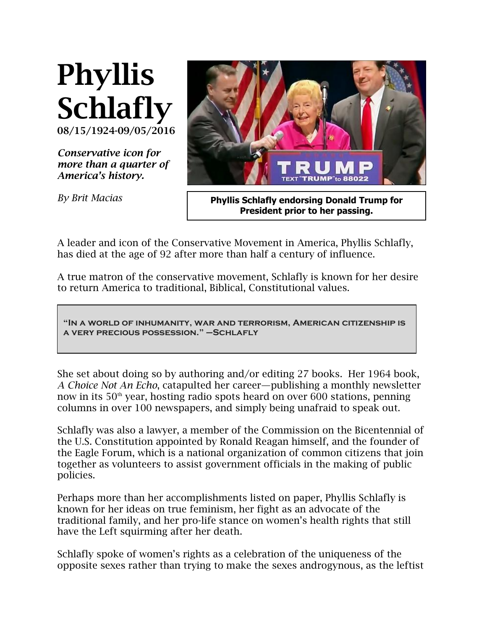

*Conservative icon for more than a quarter of America's history.* 

*By Brit Macias*



**Phyllis Schlafly endorsing Donald Trump for President prior to her passing.**

A leader and icon of the Conservative Movement in America, Phyllis Schlafly, has died at the age of 92 after more than half a century of influence.

A true matron of the conservative movement, Schlafly is known for her desire to return America to traditional, Biblical, Constitutional values.

**"In a world of inhumanity, war and terrorism, American citizenship is a very precious possession." –Schlafly** 

She set about doing so by authoring and/or editing 27 books. Her 1964 book, *A Choice Not An Echo*, catapulted her career—publishing a monthly newsletter now in its  $50<sup>th</sup>$  year, hosting radio spots heard on over 600 stations, penning columns in over 100 newspapers, and simply being unafraid to speak out.

Schlafly was also a lawyer, a member of the Commission on the Bicentennial of the U.S. Constitution appointed by Ronald Reagan himself, and the founder of the Eagle Forum, which is a national organization of common citizens that join together as volunteers to assist government officials in the making of public policies.

Perhaps more than her accomplishments listed on paper, Phyllis Schlafly is known for her ideas on true feminism, her fight as an advocate of the traditional family, and her pro-life stance on women's health rights that still have the Left squirming after her death.

Schlafly spoke of women's rights as a celebration of the uniqueness of the opposite sexes rather than trying to make the sexes androgynous, as the leftist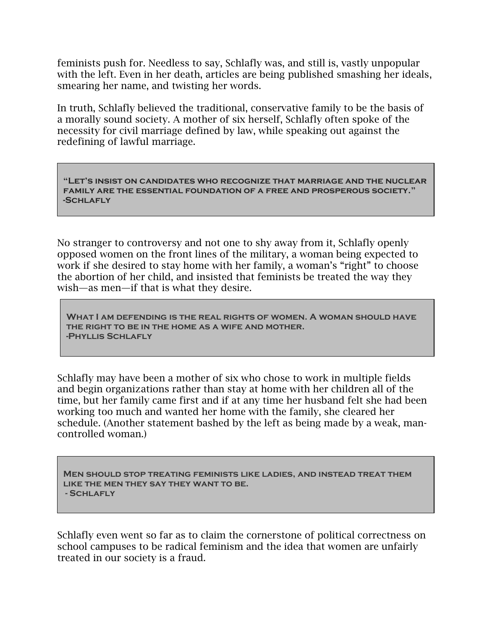feminists push for. Needless to say, Schlafly was, and still is, vastly unpopular with the left. Even in her death, articles are being published smashing her ideals, smearing her name, and twisting her words.

In truth, Schlafly believed the traditional, conservative family to be the basis of a morally sound society. A mother of six herself, Schlafly often spoke of the necessity for civil marriage defined by law, while speaking out against the redefining of lawful marriage.

**"Let's insist on candidates who recognize that marriage and the nuclear family are the essential foundation of a free and prosperous society." -Schlafly** 

No stranger to controversy and not one to shy away from it, Schlafly openly opposed women on the front lines of the military, a woman being expected to work if she desired to stay home with her family, a woman's "right" to choose the abortion of her child, and insisted that feminists be treated the way they wish—as men—if that is what they desire.

**What I am defending is the real rights of women. A woman should have the right to be in the home as a wife and mother. -Phyllis Schlafly**

Schlafly may have been a mother of six who chose to work in multiple fields and begin organizations rather than stay at home with her children all of the time, but her family came first and if at any time her husband felt she had been working too much and wanted her home with the family, she cleared her schedule. (Another statement bashed by the left as being made by a weak, mancontrolled woman.)

**Men should stop treating feminists like ladies, and instead treat them like the men they say they want to be. - Schlafly**

Schlafly even went so far as to claim the cornerstone of political correctness on school campuses to be radical feminism and the idea that women are unfairly treated in our society is a fraud.